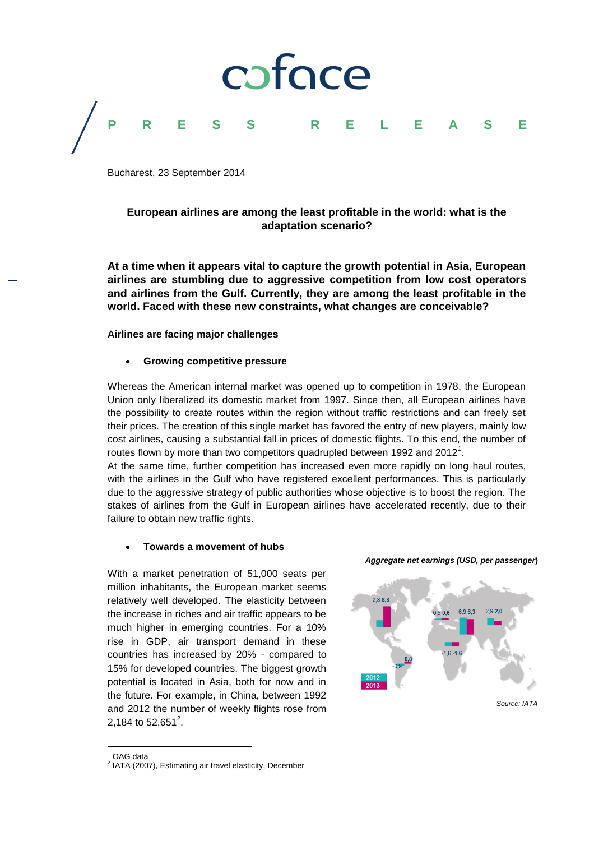

Bucharest, 23 September 2014

#### **European airlines are among the least profitable in the world: what is the adaptation scenario?**

**At a time when it appears vital to capture the growth potential in Asia, European airlines are stumbling due to aggressive competition from low cost operators and airlines from the Gulf. Currently, they are among the least profitable in the world. Faced with these new constraints, what changes are conceivable?**

#### **Airlines are facing major challenges**

#### **Growing competitive pressure**

Whereas the American internal market was opened up to competition in 1978, the European Union only liberalized its domestic market from 1997. Since then, all European airlines have the possibility to create routes within the region without traffic restrictions and can freely set their prices. The creation of this single market has favored the entry of new players, mainly low cost airlines, causing a substantial fall in prices of domestic flights. To this end, the number of routes flown by more than two competitors quadrupled between 1992 and 2012<sup>1</sup>.

At the same time, further competition has increased even more rapidly on long haul routes, with the airlines in the Gulf who have registered excellent performances. This is particularly due to the aggressive strategy of public authorities whose objective is to boost the region. The stakes of airlines from the Gulf in European airlines have accelerated recently, due to their failure to obtain new traffic rights.

#### **Towards a movement of hubs**

With a market penetration of 51,000 seats per million inhabitants, the European market seems relatively well developed. The elasticity between the increase in riches and air traffic appears to be much higher in emerging countries. For a 10% rise in GDP, air transport demand in these countries has increased by 20% - compared to 15% for developed countries. The biggest growth potential is located in Asia, both for now and in the future. For example, in China, between 1992 and 2012 the number of weekly flights rose from 2,184 to 52,651<sup>2</sup>.

*Aggregate net earnings (USD, per passenger***)** 



 $\overline{a}$  $^1$  OAG data

<sup>&</sup>lt;sup>2</sup> IATA (2007), Estimating air travel elasticity, December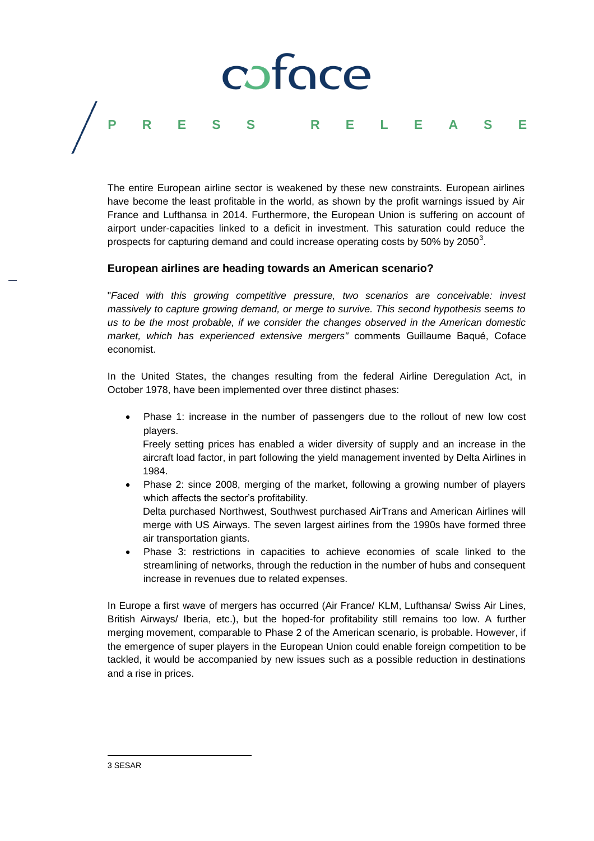## coface **PRESS RELEASE**

The entire European airline sector is weakened by these new constraints. European airlines have become the least profitable in the world, as shown by the profit warnings issued by Air France and Lufthansa in 2014. Furthermore, the European Union is suffering on account of airport under-capacities linked to a deficit in investment. This saturation could reduce the prospects for capturing demand and could increase operating costs by 50% by 2050 $^{\rm 3}$ .

#### **European airlines are heading towards an American scenario?**

"*Faced with this growing competitive pressure, two scenarios are conceivable: invest massively to capture growing demand, or merge to survive. This second hypothesis seems to us to be the most probable, if we consider the changes observed in the American domestic market, which has experienced extensive mergers"* comments Guillaume Baqué, Coface economist.

In the United States, the changes resulting from the federal Airline Deregulation Act, in October 1978, have been implemented over three distinct phases:

 Phase 1: increase in the number of passengers due to the rollout of new low cost players.

Freely setting prices has enabled a wider diversity of supply and an increase in the aircraft load factor, in part following the yield management invented by Delta Airlines in 1984.

- Phase 2: since 2008, merging of the market, following a growing number of players which affects the sector's profitability. Delta purchased Northwest, Southwest purchased AirTrans and American Airlines will merge with US Airways. The seven largest airlines from the 1990s have formed three
- air transportation giants. Phase 3: restrictions in capacities to achieve economies of scale linked to the streamlining of networks, through the reduction in the number of hubs and consequent increase in revenues due to related expenses.

In Europe a first wave of mergers has occurred (Air France/ KLM, Lufthansa/ Swiss Air Lines, British Airways/ Iberia, etc.), but the hoped-for profitability still remains too low. A further merging movement, comparable to Phase 2 of the American scenario, is probable. However, if the emergence of super players in the European Union could enable foreign competition to be tackled, it would be accompanied by new issues such as a possible reduction in destinations and a rise in prices.